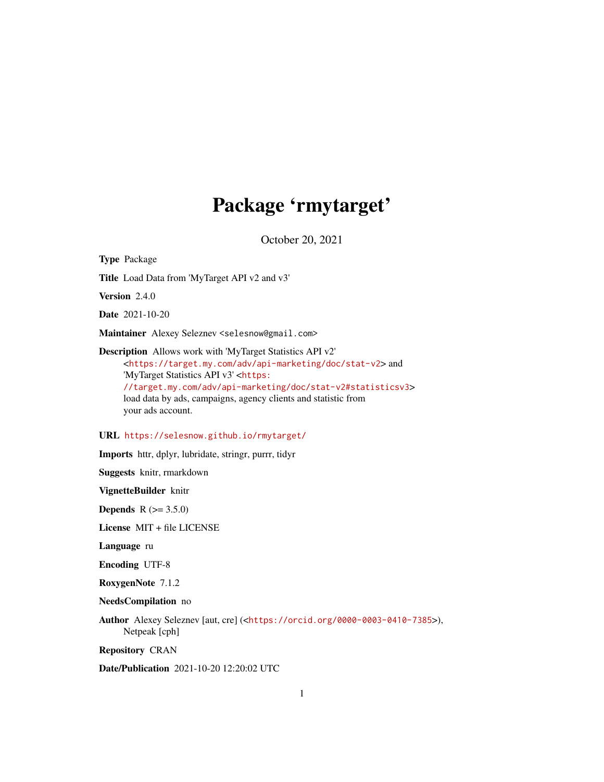# Package 'rmytarget'

October 20, 2021

Type Package Title Load Data from 'MyTarget API v2 and v3' Version 2.4.0 Date 2021-10-20 Maintainer Alexey Seleznev <selesnow@gmail.com> Description Allows work with 'MyTarget Statistics API v2' <<https://target.my.com/adv/api-marketing/doc/stat-v2>> and 'MyTarget Statistics API v3' <[https:](https://target.my.com/adv/api-marketing/doc/stat-v2#statisticsv3) [//target.my.com/adv/api-marketing/doc/stat-v2#statisticsv3](https://target.my.com/adv/api-marketing/doc/stat-v2#statisticsv3)> load data by ads, campaigns, agency clients and statistic from

#### URL <https://selesnow.github.io/rmytarget/>

Imports httr, dplyr, lubridate, stringr, purrr, tidyr

Suggests knitr, rmarkdown

your ads account.

VignetteBuilder knitr

**Depends**  $R (= 3.5.0)$ 

License MIT + file LICENSE

Language ru

Encoding UTF-8

RoxygenNote 7.1.2

NeedsCompilation no

Author Alexey Seleznev [aut, cre] (<<https://orcid.org/0000-0003-0410-7385>>), Netpeak [cph]

Repository CRAN

Date/Publication 2021-10-20 12:20:02 UTC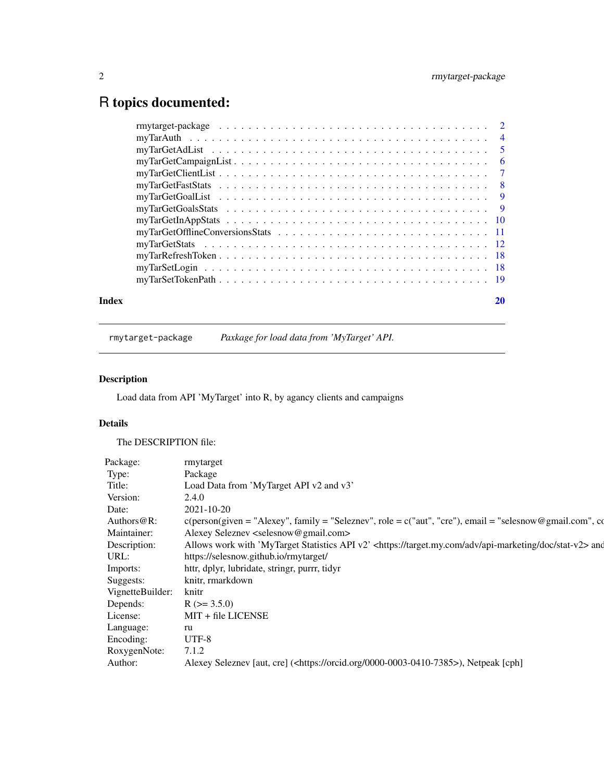## <span id="page-1-0"></span>R topics documented:

| Index | 20 |
|-------|----|
|       |    |
|       |    |
|       |    |
|       |    |
|       |    |
|       |    |
|       |    |
|       |    |
|       |    |
|       |    |
|       |    |
|       |    |
|       |    |
|       |    |

rmytarget-package *Paxkage for load data from 'MyTarget' API.*

### Description

Load data from API 'MyTarget' into R, by agancy clients and campaigns

#### Details

The DESCRIPTION file:

| Package:         | rmytarget                                                                                                                      |
|------------------|--------------------------------------------------------------------------------------------------------------------------------|
| Type:            | Package                                                                                                                        |
| Title:           | Load Data from 'MyTarget API v2 and v3'                                                                                        |
| Version:         | 2.4.0                                                                                                                          |
| Date:            | 2021-10-20                                                                                                                     |
| Authors@R:       | $c(\text{person(given = "Alexey", family = "Seleznev", role = c("aut", "cre"), email = "selesnow@gmail.com", cc})$             |
| Maintainer:      | Alexey Seleznev <selesnow@gmail.com></selesnow@gmail.com>                                                                      |
| Description:     | Allows work with 'MyTarget Statistics API v2' <https: adv="" api-marketing="" doc="" stat-v2="" target.my.com=""> and</https:> |
| URL:             | https://selesnow.github.io/rmytarget/                                                                                          |
| Imports:         | httr, dplyr, lubridate, stringr, purrr, tidyr                                                                                  |
| Suggests:        | knitr, rmarkdown                                                                                                               |
| VignetteBuilder: | knitr                                                                                                                          |
| Depends:         | $R$ ( $> = 3.5.0$ )                                                                                                            |
| License:         | MIT + file LICENSE                                                                                                             |
| Language:        | ru                                                                                                                             |
| Encoding:        | UTF-8                                                                                                                          |
| RoxygenNote:     | 7.1.2                                                                                                                          |
| Author:          | Alexey Seleznev [aut, cre] ( <https: 0000-0003-0410-7385="" orcid.org="">), Netpeak [cph]</https:>                             |
|                  |                                                                                                                                |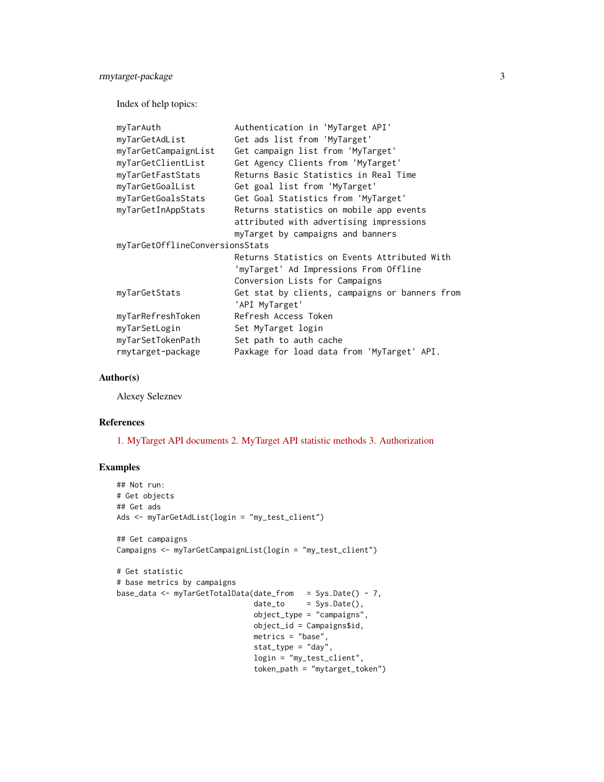rmytarget-package 3

Index of help topics:

| myTarAuth                       | Authentication in 'MyTarget API'               |
|---------------------------------|------------------------------------------------|
| myTarGetAdList                  | Get ads list from 'MyTarget'                   |
| myTarGetCampaignList            | Get campaign list from 'MyTarget'              |
| myTarGetClientList              | Get Agency Clients from 'MyTarget'             |
| myTarGetFastStats               | Returns Basic Statistics in Real Time          |
| myTarGetGoalList                | Get goal list from 'MyTarget'                  |
| myTarGetGoalsStats              | Get Goal Statistics from 'MyTarget'            |
| myTarGetInAppStats              | Returns statistics on mobile app events        |
|                                 | attributed with advertising impressions        |
|                                 | myTarget by campaigns and banners              |
| myTarGetOfflineConversionsStats |                                                |
|                                 | Returns Statistics on Events Attributed With   |
|                                 | 'myTarget' Ad Impressions From Offline         |
|                                 | Conversion Lists for Campaigns                 |
| myTarGetStats                   | Get stat by clients, campaigns or banners from |
|                                 | 'API MyTarget'                                 |
| myTarRefreshToken               | Refresh Access Token                           |
| myTarSetLogin                   | Set MyTarget login                             |
| myTarSetTokenPath               | Set path to auth cache                         |
| rmytarget-package               | Paxkage for load data from 'MyTarget' API.     |
|                                 |                                                |

#### Author(s)

Alexey Seleznev

#### References

[1. MyTarget API documents](https://target.my.com/help/advertisers/api-marketing/ru) [2. MyTarget API statistic methods](https://target.my.com/adv/api-marketing/doc/stat-v2) [3. Authorization](https://target.my.com/help/advertisers/api_authorization/ru)

#### Examples

```
## Not run:
# Get objects
## Get ads
Ads <- myTarGetAdList(login = "my_test_client")
## Get campaigns
Campaigns <- myTarGetCampaignList(login = "my_test_client")
# Get statistic
# base metrics by campaigns
base_data <- myTarGetTotalData(date_from = Sys.Date() - 7,
                               \dot{a} date_to = Sys.Date(),
                               object_type = "campaigns",
                               object_id = Campaigns$id,
                               metrics = "base",
                               stat_type = "day",
                               login = "my_test_client",
                               token_path = "mytarget_token")
```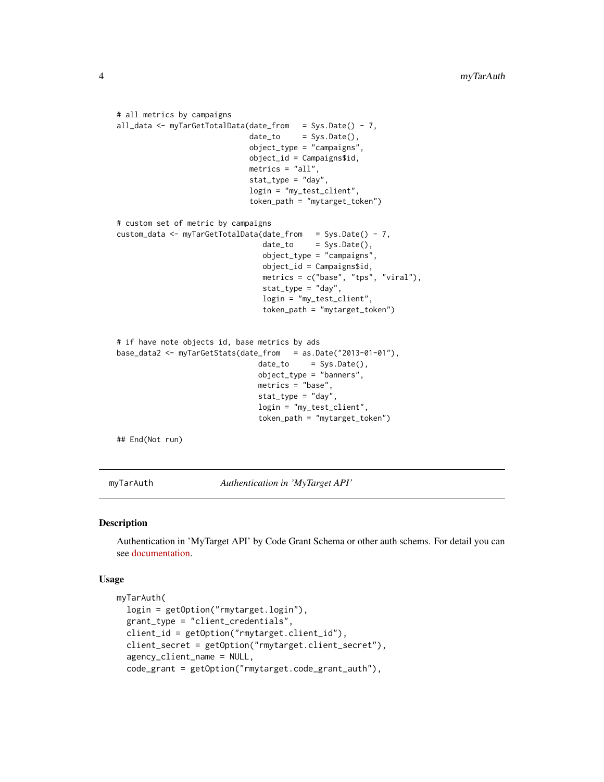```
# all metrics by campaigns
all_data <- myTarGetTotalData(date_from = Sys.Date() - 7,
                             date_to = Sys.Date(),
                             object_type = "campaigns",
                             object_id = Campaigns$id,
                             metrics = "all",stat_type = "day",
                             login = "my_test_client",
                             token_path = "mytarget_token")
# custom set of metric by campaigns
custom_data <- myTarGetTotalData(date_from = Sys.Date() - 7,
                                date_to = Sys.Date(),
                                object_type = "campaigns",
                                object_id = Campaigns$id,
                                metrics = c("base", "tps", "viral"),
                                stat_type = "day",
                                login = "my_test_client",
                                token_path = "mytarget_token")
# if have note objects id, base metrics by ads
base_data2 <- myTarGetStats(date_from = as.Date("2013-01-01"),
                               date_to = Sys.Date(),
                               object_type = "banners",
                               metrics = "base",
                               stat_type = "day",
                               login = "my_test_client",
                               token_path = "mytarget_token")
## End(Not run)
```
<span id="page-3-1"></span>myTarAuth *Authentication in 'MyTarget API'*

#### Description

Authentication in 'MyTarget API' by Code Grant Schema or other auth schems. For detail you can see [documentation.](https://target.my.com/help/advertisers/api_authorization/ru)

```
myTarAuth(
  login = getOption("rmytarget.login"),
  grant_type = "client_credentials",
  client_id = getOption("rmytarget.client_id"),
 client_secret = getOption("rmytarget.client_secret"),
  agency_client_name = NULL,
  code_grant = getOption("rmytarget.code_grant_auth"),
```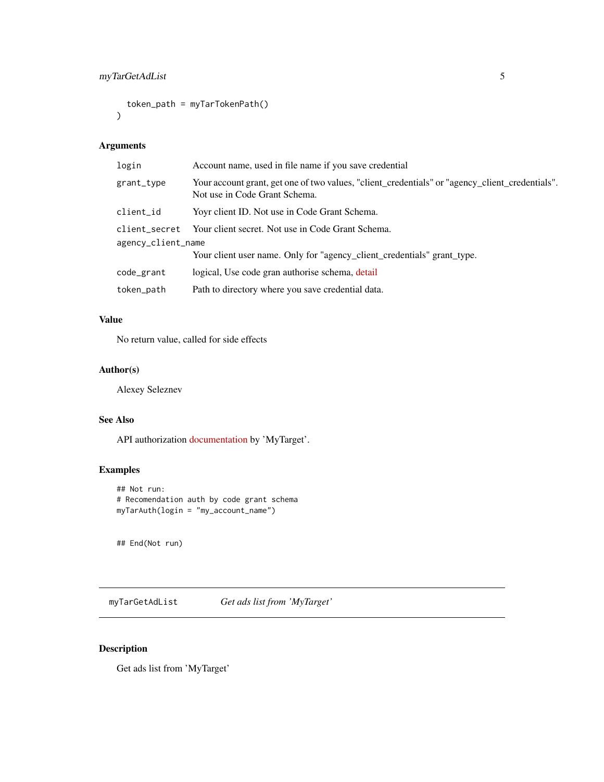```
token_path = myTarTokenPath()
\mathcal{L}
```

| login              | Account name, used in file name if you save credential                                                                           |  |
|--------------------|----------------------------------------------------------------------------------------------------------------------------------|--|
| grant_type         | Your account grant, get one of two values, "client_credentials" or "agency_client_credentials".<br>Not use in Code Grant Schema. |  |
| client_id          | Yoyr client ID. Not use in Code Grant Schema.                                                                                    |  |
| client_secret      | Your client secret. Not use in Code Grant Schema.                                                                                |  |
| agency_client_name |                                                                                                                                  |  |
|                    | Your client user name. Only for "agency_client_credentials" grant_type.                                                          |  |
| code_grant         | logical, Use code gran authorise schema, detail                                                                                  |  |
| token_path         | Path to directory where you save credential data.                                                                                |  |
|                    |                                                                                                                                  |  |

#### Value

No return value, called for side effects

#### Author(s)

Alexey Seleznev

#### See Also

API authorization [documentation](https://target.my.com/help/advertisers/api_authorization/ru) by 'MyTarget'.

#### Examples

```
## Not run:
# Recomendation auth by code grant schema
myTarAuth(login = "my_account_name")
```
## End(Not run)

myTarGetAdList *Get ads list from 'MyTarget'*

#### Description

Get ads list from 'MyTarget'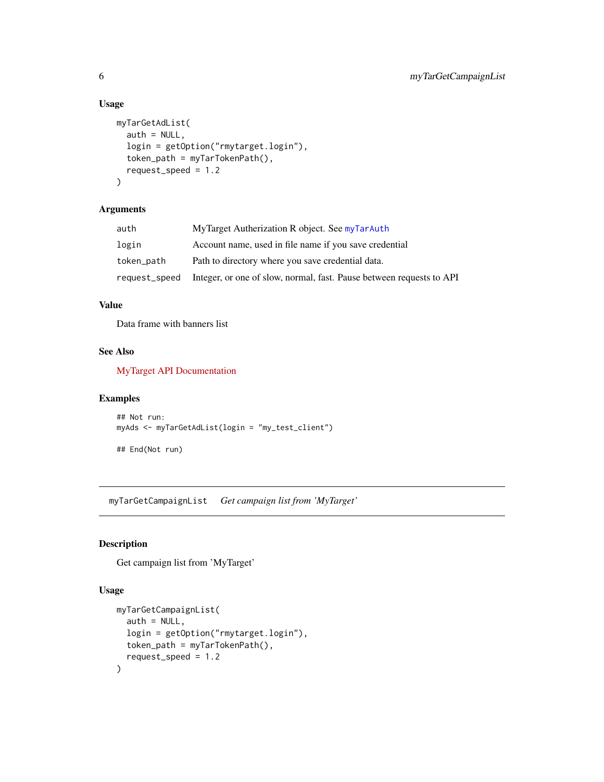#### Usage

```
myTarGetAdList(
  auth = NULL,login = getOption("rmytarget.login"),
  token_path = myTarTokenPath(),
  request_speed = 1.2
\lambda
```
#### Arguments

| auth       | MyTarget Autherization R object. See myTarAuth                                     |
|------------|------------------------------------------------------------------------------------|
| login      | Account name, used in file name if you save credential                             |
| token_path | Path to directory where you save credential data.                                  |
|            | request_speed Integer, or one of slow, normal, fast. Pause between requests to API |

#### Value

Data frame with banners list

#### See Also

[MyTarget API Documentation](https://target.my.com/doc/api/ru/resource/Banners)

#### Examples

```
## Not run:
myAds <- myTarGetAdList(login = "my_test_client")
```
## End(Not run)

myTarGetCampaignList *Get campaign list from 'MyTarget'*

#### Description

Get campaign list from 'MyTarget'

```
myTarGetCampaignList(
  auth = NULL,login = getOption("rmytarget.login"),
  token_path = myTarTokenPath(),
  request_speed = 1.2
\mathcal{E}
```
<span id="page-5-0"></span>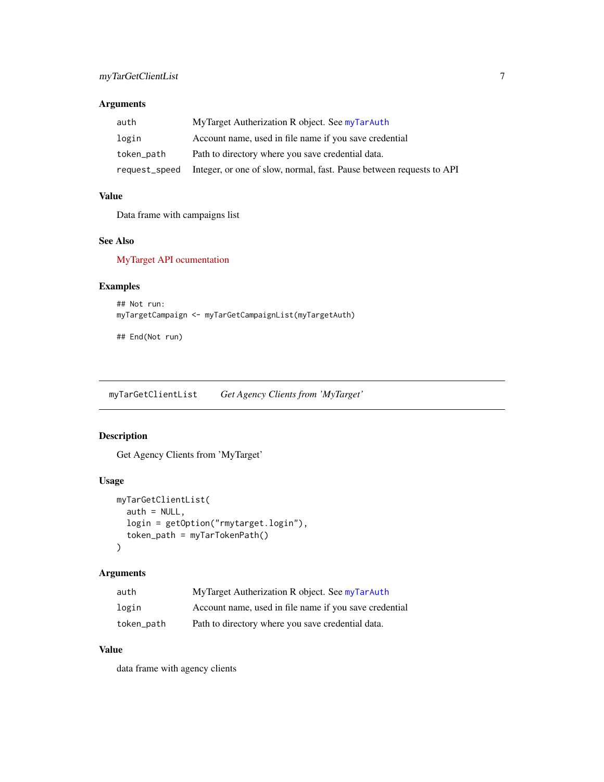<span id="page-6-0"></span>

| auth       | MyTarget Autherization R object. See myTarAuth                                     |
|------------|------------------------------------------------------------------------------------|
| login      | Account name, used in file name if you save credential                             |
| token_path | Path to directory where you save credential data.                                  |
|            | request_speed Integer, or one of slow, normal, fast. Pause between requests to API |

#### Value

Data frame with campaigns list

#### See Also

[MyTarget API ocumentation](https://target.my.com/doc/api/ru/resource/Campaigns)

#### Examples

```
## Not run:
myTargetCampaign <- myTarGetCampaignList(myTargetAuth)
```
## End(Not run)

myTarGetClientList *Get Agency Clients from 'MyTarget'*

#### Description

Get Agency Clients from 'MyTarget'

#### Usage

```
myTarGetClientList(
 auth = NULL,login = getOption("rmytarget.login"),
  token_path = myTarTokenPath()
)
```
#### Arguments

| auth       | MyTarget Autherization R object. See myTarAuth         |
|------------|--------------------------------------------------------|
| login      | Account name, used in file name if you save credential |
| token_path | Path to directory where you save credential data.      |

#### Value

data frame with agency clients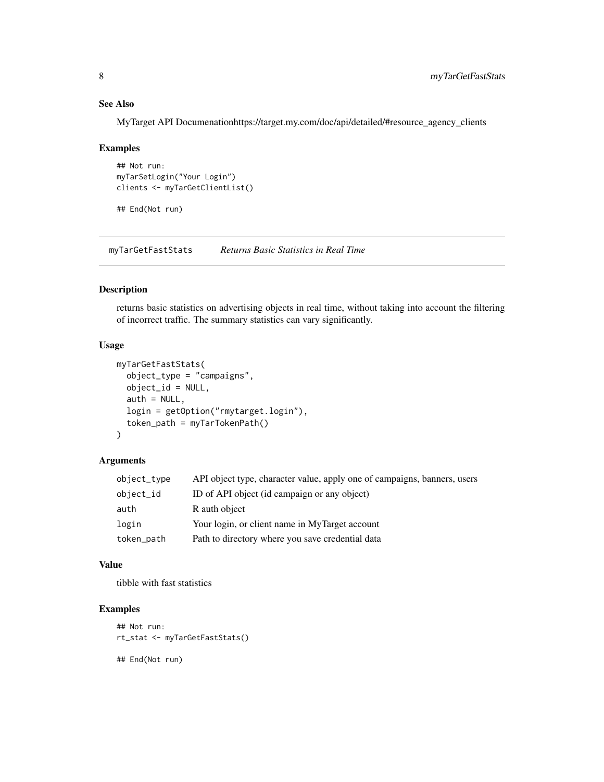#### See Also

MyTarget API Documenationhttps://target.my.com/doc/api/detailed/#resource\_agency\_clients

#### Examples

```
## Not run:
myTarSetLogin("Your Login")
clients <- myTarGetClientList()
```
## End(Not run)

myTarGetFastStats *Returns Basic Statistics in Real Time*

#### Description

returns basic statistics on advertising objects in real time, without taking into account the filtering of incorrect traffic. The summary statistics can vary significantly.

#### Usage

```
myTarGetFastStats(
  object_type = "campaigns",
  object_id = NULL,
  auth = NULL,login = getOption("rmytarget.login"),
  token_path = myTarTokenPath()
)
```
#### Arguments

| object_type | API object type, character value, apply one of campaigns, banners, users |
|-------------|--------------------------------------------------------------------------|
| object_id   | ID of API object (id campaign or any object)                             |
| auth        | R auth object                                                            |
| login       | Your login, or client name in MyTarget account                           |
| token_path  | Path to directory where you save credential data                         |

#### Value

tibble with fast statistics

#### Examples

```
## Not run:
rt_stat <- myTarGetFastStats()
## End(Not run)
```
<span id="page-7-0"></span>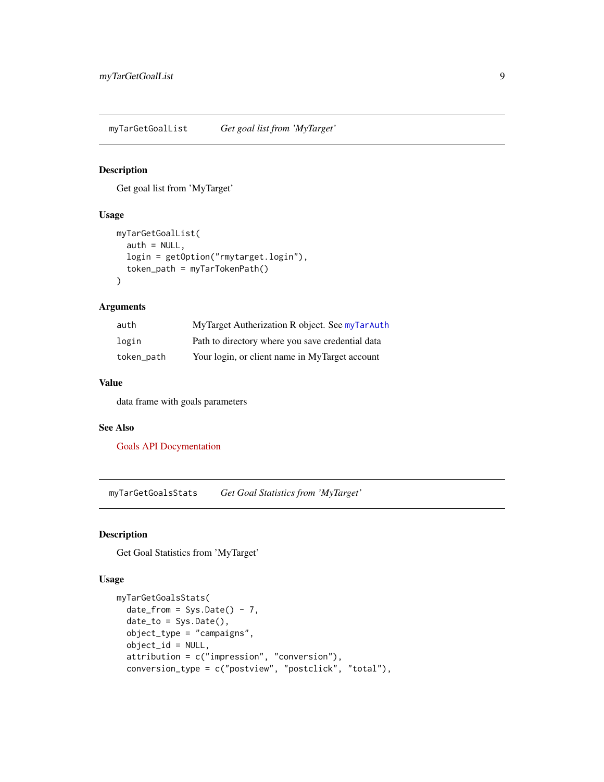<span id="page-8-0"></span>myTarGetGoalList *Get goal list from 'MyTarget'*

#### Description

Get goal list from 'MyTarget'

#### Usage

```
myTarGetGoalList(
  auth = NULL,login = getOption("rmytarget.login"),
  token_path = myTarTokenPath()
)
```
#### Arguments

| auth       | MyTarget Autherization R object. See myTarAuth   |
|------------|--------------------------------------------------|
| login      | Path to directory where you save credential data |
| token_path | Your login, or client name in MyTarget account   |

#### Value

data frame with goals parameters

#### See Also

[Goals API Docymentation](https://target.my.com/doc/api/ru/resource/Goals)

myTarGetGoalsStats *Get Goal Statistics from 'MyTarget'*

#### Description

Get Goal Statistics from 'MyTarget'

```
myTarGetGoalsStats(
  date_from = Sys.Date() - 7,date_to = Sys.Date(),
 object_type = "campaigns",
 object_id = NULL,
  attribution = c("impression", "conversion"),
  conversion_type = c("postview", "postclick", "total"),
```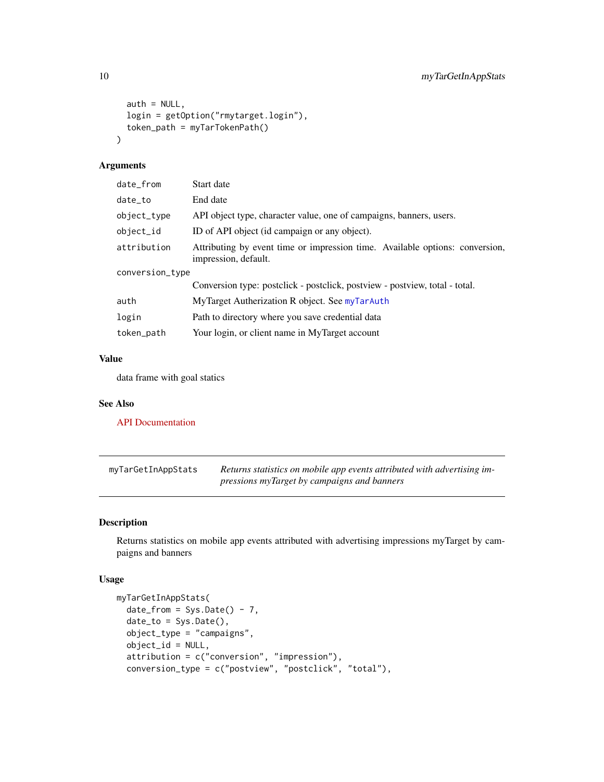```
auth = NULL,login = getOption("rmytarget.login"),
  token_path = myTarTokenPath()
\mathcal{L}
```

| date_from       | Start date                                                                                           |  |
|-----------------|------------------------------------------------------------------------------------------------------|--|
| date_to         | End date                                                                                             |  |
| object_type     | API object type, character value, one of campaigns, banners, users.                                  |  |
| $object_id$     | ID of API object (id campaign or any object).                                                        |  |
| attribution     | Attributing by event time or impression time. Available options: conversion,<br>impression, default. |  |
| conversion_type |                                                                                                      |  |
|                 | Conversion type: postclick - postclick, postview - postview, total - total.                          |  |
| auth            | MyTarget Autherization R object. See myTarAuth                                                       |  |
| login           | Path to directory where you save credential data                                                     |  |
| token_path      | Your login, or client name in MyTarget account                                                       |  |
|                 |                                                                                                      |  |

#### Value

data frame with goal statics

#### See Also

[API Documentation](https://target.my.com/adv/api-marketing/doc/stat-v2#goals)

| myTarGetInAppStats | Returns statistics on mobile app events attributed with advertising im- |
|--------------------|-------------------------------------------------------------------------|
|                    | pressions myTarget by campaigns and banners                             |

#### Description

Returns statistics on mobile app events attributed with advertising impressions myTarget by campaigns and banners

```
myTarGetInAppStats(
 date\_from = Sys.Date() - 7,date_to = Sys.Date(),
 object_type = "campaigns",
 object_id = NULL,
 attribution = c("conversion", "impression"),
  conversion_type = c("postview", "postclick", "total"),
```
<span id="page-9-0"></span>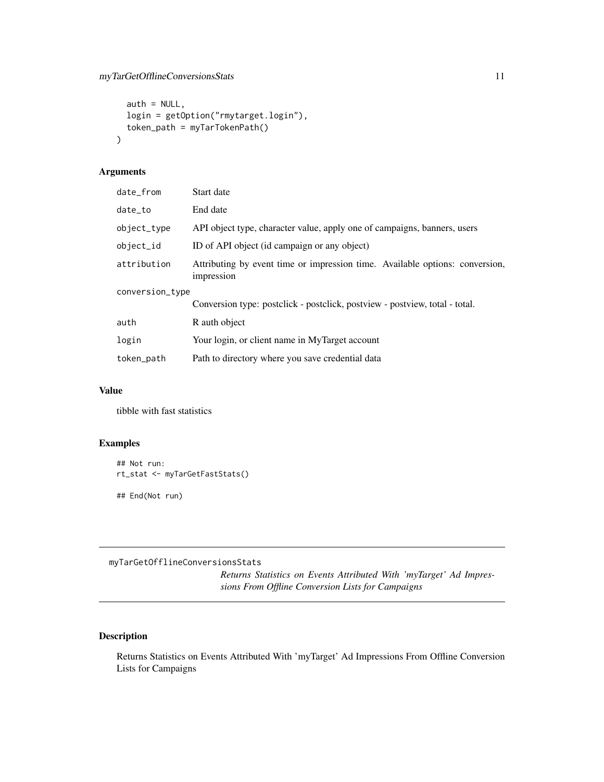```
auth = NULL,login = getOption("rmytarget.login"),
  token_path = myTarTokenPath()
\mathcal{L}
```

| date_from       | Start date                                                                                 |  |
|-----------------|--------------------------------------------------------------------------------------------|--|
| date to         | End date                                                                                   |  |
| object_type     | API object type, character value, apply one of campaigns, banners, users                   |  |
| object_id       | ID of API object (id campaign or any object)                                               |  |
| attribution     | Attributing by event time or impression time. Available options: conversion,<br>impression |  |
| conversion_type |                                                                                            |  |
|                 | Conversion type: postclick - postclick, postview - postview, total - total.                |  |
| auth            | R auth object                                                                              |  |
| login           | Your login, or client name in MyTarget account                                             |  |
| token_path      | Path to directory where you save credential data                                           |  |
|                 |                                                                                            |  |

#### Value

tibble with fast statistics

#### Examples

```
## Not run:
rt_stat <- myTarGetFastStats()
## End(Not run)
```
myTarGetOfflineConversionsStats

*Returns Statistics on Events Attributed With 'myTarget' Ad Impressions From Offline Conversion Lists for Campaigns*

#### Description

Returns Statistics on Events Attributed With 'myTarget' Ad Impressions From Offline Conversion Lists for Campaigns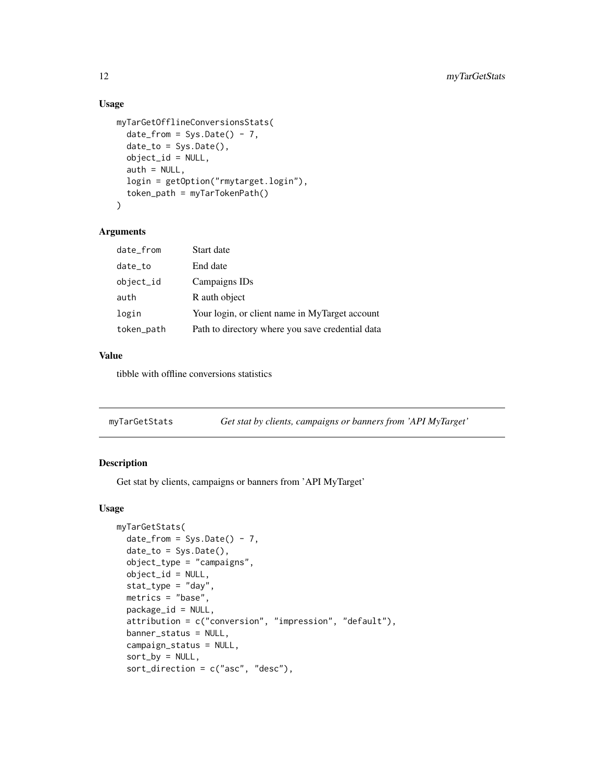#### Usage

```
myTarGetOfflineConversionsStats(
 date\_from = Sys.Date() - 7,date_to = Sys.Date(),
 object_id = NULL,
 auth = NULL,login = getOption("rmytarget.login"),
  token_path = myTarTokenPath()
)
```
#### Arguments

| date_from  | Start date                                       |
|------------|--------------------------------------------------|
| date_to    | End date                                         |
| object_id  | Campaigns IDs                                    |
| auth       | R auth object                                    |
| login      | Your login, or client name in MyTarget account   |
| token_path | Path to directory where you save credential data |

#### Value

tibble with offline conversions statistics

myTarGetStats *Get stat by clients, campaigns or banners from 'API MyTarget'*

#### Description

Get stat by clients, campaigns or banners from 'API MyTarget'

```
myTarGetStats(
 date_from = Sys.Date() - 7,date_to = Sys.Date(),
 object_type = "campaigns",
 object_id = NULL,
  stat_type = "day",
 metrics = "base",
 package_id = NULL,
 attribution = c("conversion", "impression", "default"),
 banner_status = NULL,
  campaign_status = NULL,
  sort_by = NULL,
  sort_direction = c("asc", "desc"),
```
<span id="page-11-0"></span>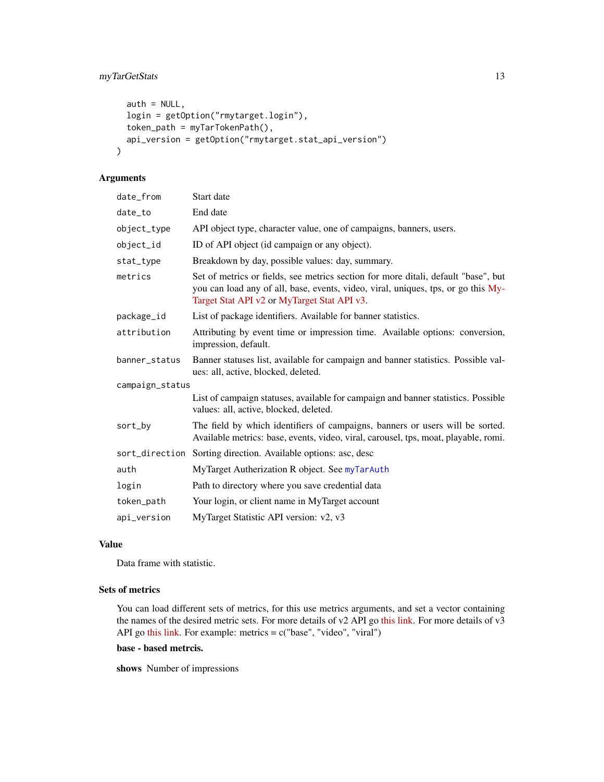```
auth = NULL,login = getOption("rmytarget.login"),
 token_path = myTarTokenPath(),
 api_version = getOption("rmytarget.stat_api_version")
)
```

| date_from       | Start date                                                                                                                                                                                                             |  |
|-----------------|------------------------------------------------------------------------------------------------------------------------------------------------------------------------------------------------------------------------|--|
| date_to         | End date                                                                                                                                                                                                               |  |
| object_type     | API object type, character value, one of campaigns, banners, users.                                                                                                                                                    |  |
| object_id       | ID of API object (id campaign or any object).                                                                                                                                                                          |  |
| stat_type       | Breakdown by day, possible values: day, summary.                                                                                                                                                                       |  |
| metrics         | Set of metrics or fields, see metrics section for more ditali, default "base", but<br>you can load any of all, base, events, video, viral, uniques, tps, or go this My-<br>Target Stat API v2 or MyTarget Stat API v3. |  |
| package_id      | List of package identifiers. Available for banner statistics.                                                                                                                                                          |  |
| attribution     | Attributing by event time or impression time. Available options: conversion,<br>impression, default.                                                                                                                   |  |
| banner_status   | Banner statuses list, available for campaign and banner statistics. Possible val-<br>ues: all, active, blocked, deleted.                                                                                               |  |
| campaign_status |                                                                                                                                                                                                                        |  |
|                 | List of campaign statuses, available for campaign and banner statistics. Possible<br>values: all, active, blocked, deleted.                                                                                            |  |
| sort_by         | The field by which identifiers of campaigns, banners or users will be sorted.<br>Available metrics: base, events, video, viral, carousel, tps, moat, playable, romi.                                                   |  |
|                 | sort_direction Sorting direction. Available options: asc, desc                                                                                                                                                         |  |
| auth            | MyTarget Autherization R object. See myTarAuth                                                                                                                                                                         |  |
| login           | Path to directory where you save credential data                                                                                                                                                                       |  |
| token_path      | Your login, or client name in MyTarget account                                                                                                                                                                         |  |
| api_version     | MyTarget Statistic API version: v2, v3                                                                                                                                                                                 |  |

#### Value

Data frame with statistic.

#### Sets of metrics

You can load different sets of metrics, for this use metrics arguments, and set a vector containing the names of the desired metric sets. For more details of v2 API go [this link.](https://target.my.com/adv/api-marketing/doc/stat-v2) For more details of v3 API go [this link.](https://target.my.com/adv/api-marketing/doc/stat-v2#statisticsv3) For example: metrics = c("base", "video", "viral")

#### base - based metrcis.

shows Number of impressions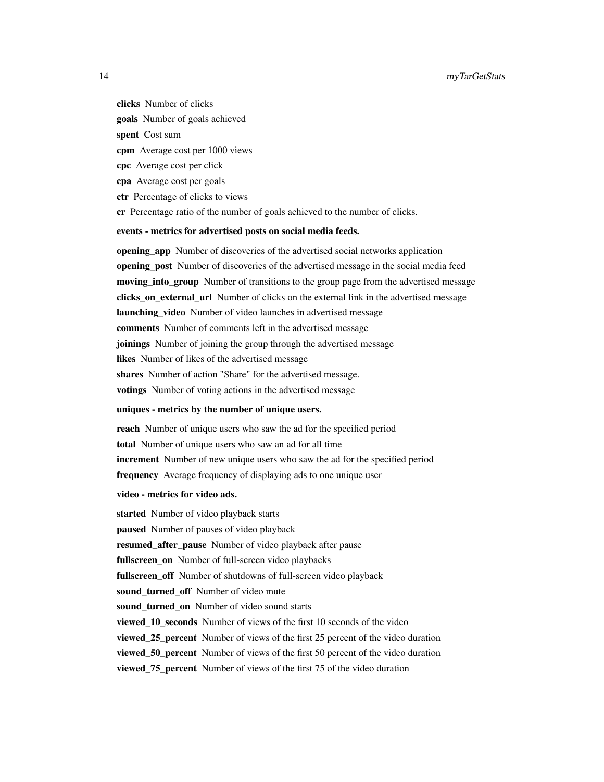#### 14 myTarGetStats

clicks Number of clicks goals Number of goals achieved spent Cost sum cpm Average cost per 1000 views cpc Average cost per click cpa Average cost per goals ctr Percentage of clicks to views cr Percentage ratio of the number of goals achieved to the number of clicks.

#### events - metrics for advertised posts on social media feeds.

**opening app** Number of discoveries of the advertised social networks application opening\_post Number of discoveries of the advertised message in the social media feed moving\_into\_group Number of transitions to the group page from the advertised message clicks\_on\_external\_url Number of clicks on the external link in the advertised message **launching** video Number of video launches in advertised message comments Number of comments left in the advertised message **joinings** Number of joining the group through the advertised message likes Number of likes of the advertised message shares Number of action "Share" for the advertised message. votings Number of voting actions in the advertised message

#### uniques - metrics by the number of unique users.

reach Number of unique users who saw the ad for the specified period total Number of unique users who saw an ad for all time increment Number of new unique users who saw the ad for the specified period frequency Average frequency of displaying ads to one unique user

#### video - metrics for video ads.

started Number of video playback starts paused Number of pauses of video playback resumed after pause Number of video playback after pause fullscreen on Number of full-screen video playbacks fullscreen off Number of shutdowns of full-screen video playback sound\_turned\_off Number of video mute sound\_turned\_on Number of video sound starts viewed\_10\_seconds Number of views of the first 10 seconds of the video **viewed 25 percent** Number of views of the first 25 percent of the video duration viewed 50 percent Number of views of the first 50 percent of the video duration viewed\_75\_percent Number of views of the first 75 of the video duration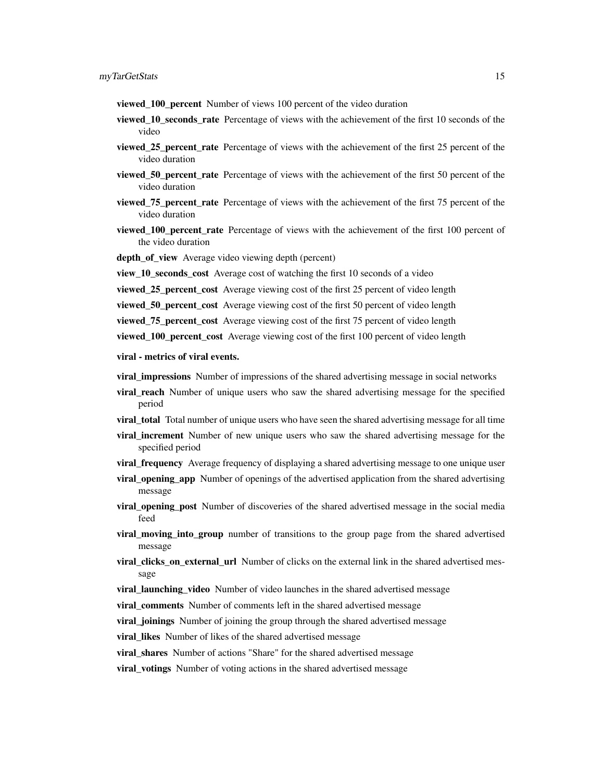- viewed\_100\_percent Number of views 100 percent of the video duration
- viewed\_10\_seconds\_rate Percentage of views with the achievement of the first 10 seconds of the video
- viewed\_25\_percent\_rate Percentage of views with the achievement of the first 25 percent of the video duration
- viewed\_50\_percent\_rate Percentage of views with the achievement of the first 50 percent of the video duration
- viewed\_75\_percent\_rate Percentage of views with the achievement of the first 75 percent of the video duration
- viewed 100 percent rate Percentage of views with the achievement of the first 100 percent of the video duration
- depth of view Average video viewing depth (percent)

view\_10\_seconds\_cost Average cost of watching the first 10 seconds of a video

**viewed 25 percent cost** Average viewing cost of the first 25 percent of video length

viewed\_50\_percent\_cost Average viewing cost of the first 50 percent of video length

viewed\_75\_percent\_cost Average viewing cost of the first 75 percent of video length

viewed\_100\_percent\_cost Average viewing cost of the first 100 percent of video length

viral - metrics of viral events.

- viral\_impressions Number of impressions of the shared advertising message in social networks
- **viral reach** Number of unique users who saw the shared advertising message for the specified period
- **viral total** Total number of unique users who have seen the shared advertising message for all time
- viral\_increment Number of new unique users who saw the shared advertising message for the specified period
- **viral frequency** Average frequency of displaying a shared advertising message to one unique user
- **viral opening app** Number of openings of the advertised application from the shared advertising message
- **viral opening post** Number of discoveries of the shared advertised message in the social media feed
- viral moving into group number of transitions to the group page from the shared advertised message
- **viral\_clicks\_on\_external\_url** Number of clicks on the external link in the shared advertised message
- viral\_launching\_video Number of video launches in the shared advertised message
- viral\_comments Number of comments left in the shared advertised message
- **viral\_joinings** Number of joining the group through the shared advertised message

viral likes Number of likes of the shared advertised message

viral\_shares Number of actions "Share" for the shared advertised message

viral\_votings Number of voting actions in the shared advertised message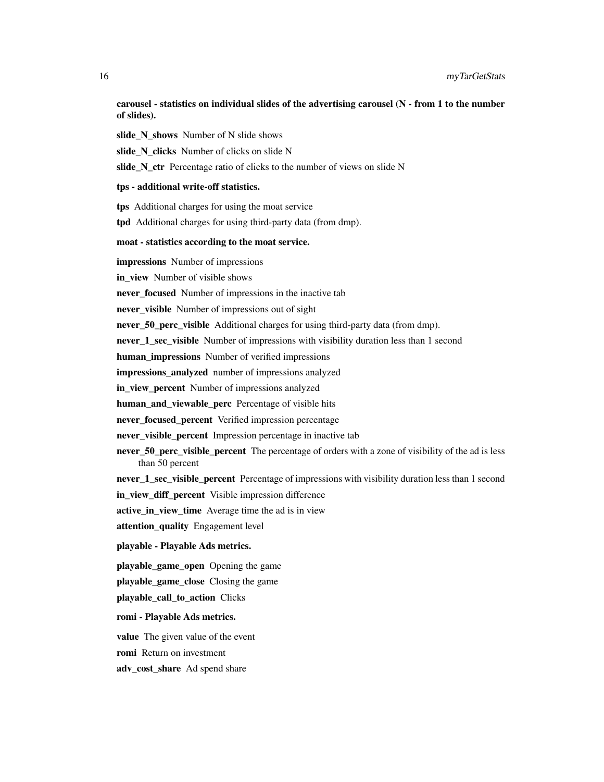carousel - statistics on individual slides of the advertising carousel (N - from 1 to the number of slides).

slide N shows Number of N slide shows

slide N clicks Number of clicks on slide N

slide\_N\_ctr Percentage ratio of clicks to the number of views on slide N

#### tps - additional write-off statistics.

tps Additional charges for using the moat service

tpd Additional charges for using third-party data (from dmp).

#### moat - statistics according to the moat service.

impressions Number of impressions

in\_view Number of visible shows

never\_focused Number of impressions in the inactive tab

never\_visible Number of impressions out of sight

never\_50\_perc\_visible Additional charges for using third-party data (from dmp).

never 1\_sec\_visible Number of impressions with visibility duration less than 1 second

human impressions Number of verified impressions

impressions analyzed number of impressions analyzed

in view percent Number of impressions analyzed

human and viewable perc Percentage of visible hits

never focused percent Verified impression percentage

never visible percent Impression percentage in inactive tab

never\_50\_perc\_visible\_percent The percentage of orders with a zone of visibility of the ad is less than 50 percent

never 1 sec visible percent Percentage of impressions with visibility duration less than 1 second in\_view\_diff\_percent Visible impression difference

active\_in\_view\_time Average time the ad is in view

attention\_quality Engagement level

#### playable - Playable Ads metrics.

playable\_game\_open Opening the game

playable\_game\_close Closing the game

playable\_call\_to\_action Clicks

#### romi - Playable Ads metrics.

value The given value of the event

romi Return on investment

adv\_cost\_share Ad spend share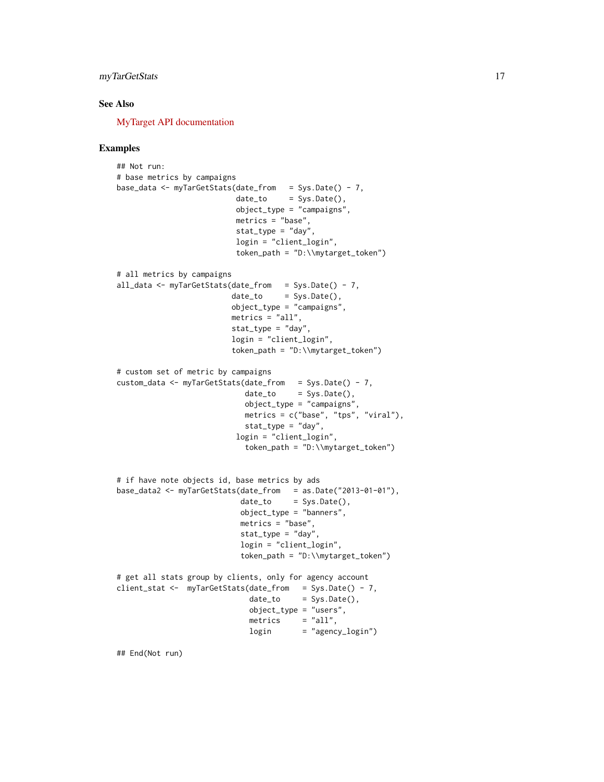#### myTarGetStats 17

#### See Also

[MyTarget API documentation](https://target.my.com/adv/api-marketing/doc/stat-v2)

#### Examples

```
## Not run:
# base metrics by campaigns
base_data <- myTarGetStats(date_from = Sys.Date() - 7,
                          date_to = Sys.Date(),
                          object_type = "campaigns",
                          metrics = "base",
                          stat_type = "day",
                          login = "client_login",
                          token_path = "D:\\mytarget_token")
# all metrics by campaigns
all_data <- myTarGetStats(date_from = Sys.Date() - 7,
                         date_to = Sys.Date(),
                         object_type = "campaigns",
                         metrics = "all",stat_type = "day",
                         login = "client_login",
                         token_path = "D:\\mytarget_token")
# custom set of metric by campaigns
custom_data <- myTarGetStats(date_from = Sys.Date() - 7,
                            date_to = Sys.DataFrame(),
                            object_type = "campaigns",
                            metrics = c("base", "tps", "viral"),
                            stat_type = "day",
                          login = "client_login",
                            token_path = "D:\\mytarget_token")
# if have note objects id, base metrics by ads
base_data2 <- myTarGetStats(date_from = as.Date("2013-01-01"),
                           date_to = Sys.Date(),
                           object_type = "banners",
                           metrics = "base",
                           stat_type = "day",
                           login = "client_login",
                           token_path = "D:\\mytarget_token")
# get all stats group by clients, only for agency account
client_stat <- myTarGetStats(date_from = Sys.Date() - 7,
                             date_to = Sys.Date(),
                             object_type = "users",
                             metrics = "all",
                             login = "agency_login")
```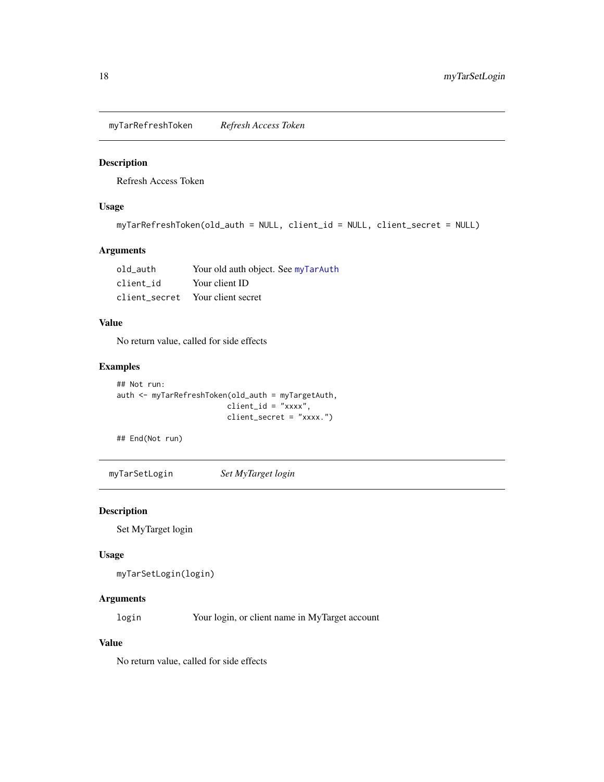<span id="page-17-0"></span>myTarRefreshToken *Refresh Access Token*

#### Description

Refresh Access Token

#### Usage

```
myTarRefreshToken(old_auth = NULL, client_id = NULL, client_secret = NULL)
```
#### Arguments

| old auth  | Your old auth object. See myTarAuth |
|-----------|-------------------------------------|
| client id | Your client ID                      |
|           | client secret Your client secret    |

#### Value

No return value, called for side effects

#### Examples

```
## Not run:
auth <- myTarRefreshToken(old_auth = myTargetAuth,
                        client_id = "xxxx",client_secret = "xxxx.")
```
## End(Not run)

myTarSetLogin *Set MyTarget login*

#### Description

Set MyTarget login

#### Usage

```
myTarSetLogin(login)
```
#### Arguments

login Your login, or client name in MyTarget account

#### Value

No return value, called for side effects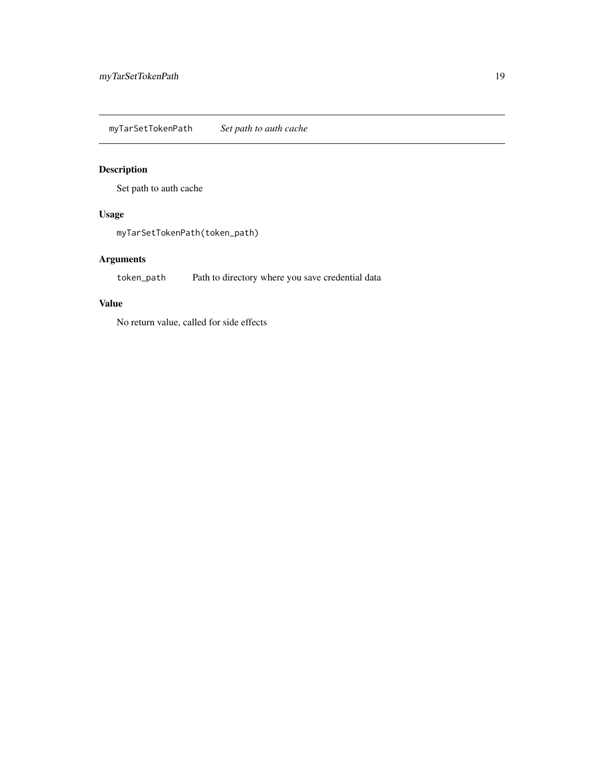<span id="page-18-0"></span>myTarSetTokenPath *Set path to auth cache*

#### Description

Set path to auth cache

#### Usage

myTarSetTokenPath(token\_path)

#### Arguments

token\_path Path to directory where you save credential data

#### Value

No return value, called for side effects